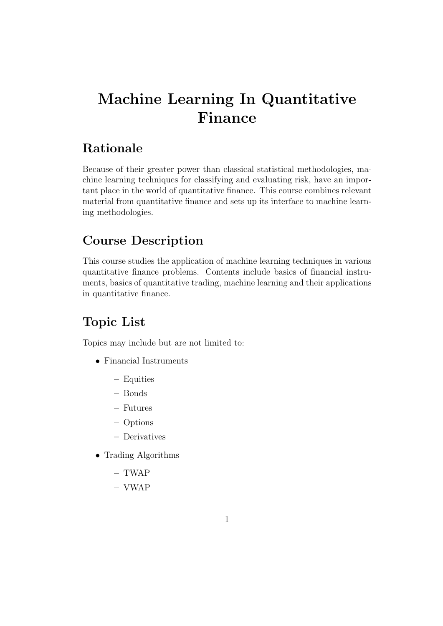# Machine Learning In Quantitative Finance

#### Rationale

Because of their greater power than classical statistical methodologies, machine learning techniques for classifying and evaluating risk, have an important place in the world of quantitative finance. This course combines relevant material from quantitative finance and sets up its interface to machine learning methodologies.

### Course Description

This course studies the application of machine learning techniques in various quantitative finance problems. Contents include basics of financial instruments, basics of quantitative trading, machine learning and their applications in quantitative finance.

## Topic List

Topics may include but are not limited to:

- Financial Instruments
	- Equities
	- Bonds
	- Futures
	- Options
	- Derivatives
- Trading Algorithms
	- TWAP
	- VWAP